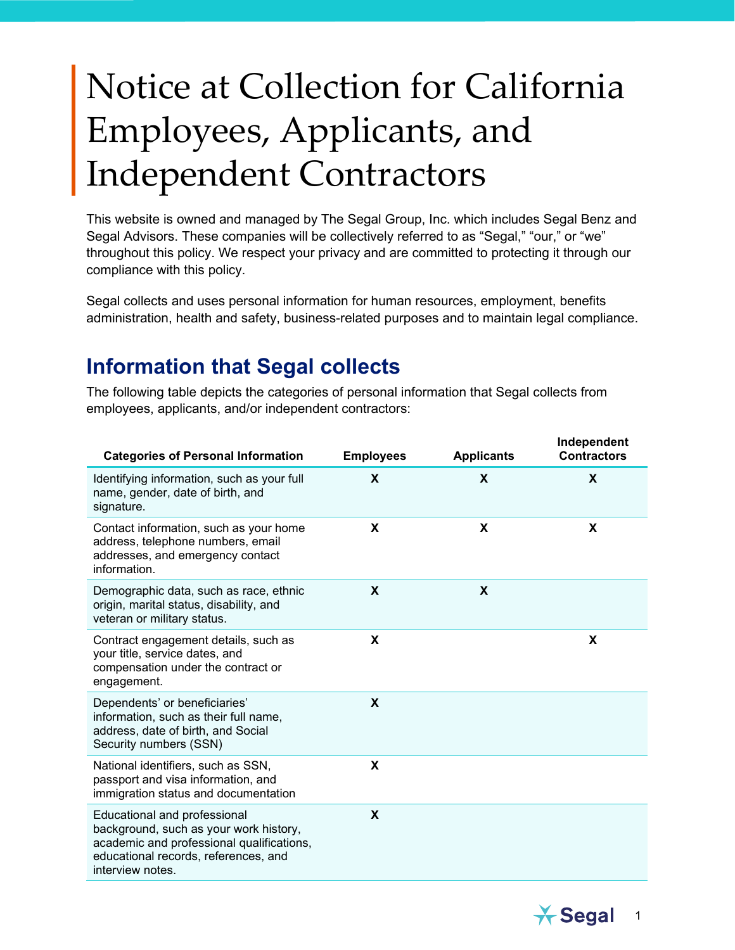## Notice at Collection for California Employees, Applicants, and Independent Contractors

This website is owned and managed by The Segal Group, Inc. which includes Segal Benz and Segal Advisors. These companies will be collectively referred to as "Segal," "our," or "we" throughout this policy. We respect your privacy and are committed to protecting it through our compliance with this policy.

Segal collects and uses personal information for human resources, employment, benefits administration, health and safety, business-related purposes and to maintain legal compliance.

## **Information that Segal collects**

The following table depicts the categories of personal information that Segal collects from employees, applicants, and/or independent contractors:

| <b>Employees</b> | <b>Applicants</b> | Independent<br><b>Contractors</b> |
|------------------|-------------------|-----------------------------------|
| X                | X                 | X                                 |
| X                | X                 | X                                 |
| X                | X                 |                                   |
| X                |                   | X                                 |
| X                |                   |                                   |
| X                |                   |                                   |
| X                |                   |                                   |
|                  |                   |                                   |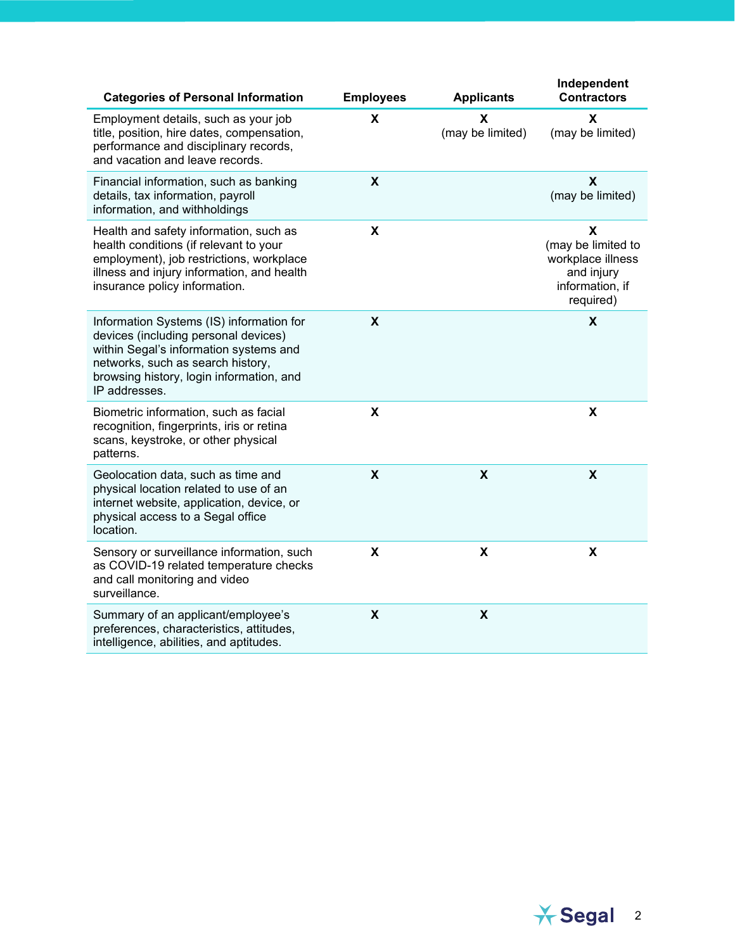| <b>Categories of Personal Information</b>                                                                                                                                                                                    | <b>Employees</b>          | <b>Applicants</b>         | Independent<br><b>Contractors</b>                                                          |
|------------------------------------------------------------------------------------------------------------------------------------------------------------------------------------------------------------------------------|---------------------------|---------------------------|--------------------------------------------------------------------------------------------|
| Employment details, such as your job<br>title, position, hire dates, compensation,<br>performance and disciplinary records,<br>and vacation and leave records.                                                               | X                         | X<br>(may be limited)     | X<br>(may be limited)                                                                      |
| Financial information, such as banking<br>details, tax information, payroll<br>information, and withholdings                                                                                                                 | X                         |                           | X<br>(may be limited)                                                                      |
| Health and safety information, such as<br>health conditions (if relevant to your<br>employment), job restrictions, workplace<br>illness and injury information, and health<br>insurance policy information.                  | X                         |                           | X<br>(may be limited to<br>workplace illness<br>and injury<br>information, if<br>required) |
| Information Systems (IS) information for<br>devices (including personal devices)<br>within Segal's information systems and<br>networks, such as search history,<br>browsing history, login information, and<br>IP addresses. | X                         |                           | $\boldsymbol{\mathsf{X}}$                                                                  |
| Biometric information, such as facial<br>recognition, fingerprints, iris or retina<br>scans, keystroke, or other physical<br>patterns.                                                                                       | X                         |                           | X                                                                                          |
| Geolocation data, such as time and<br>physical location related to use of an<br>internet website, application, device, or<br>physical access to a Segal office<br>location.                                                  | $\boldsymbol{\mathsf{X}}$ | $\boldsymbol{\mathsf{X}}$ | $\boldsymbol{\mathsf{X}}$                                                                  |
| Sensory or surveillance information, such<br>as COVID-19 related temperature checks<br>and call monitoring and video<br>surveillance.                                                                                        | X                         | $\boldsymbol{\mathsf{X}}$ | $\boldsymbol{\mathsf{X}}$                                                                  |
| Summary of an applicant/employee's<br>preferences, characteristics, attitudes,<br>intelligence, abilities, and aptitudes.                                                                                                    | X                         | X                         |                                                                                            |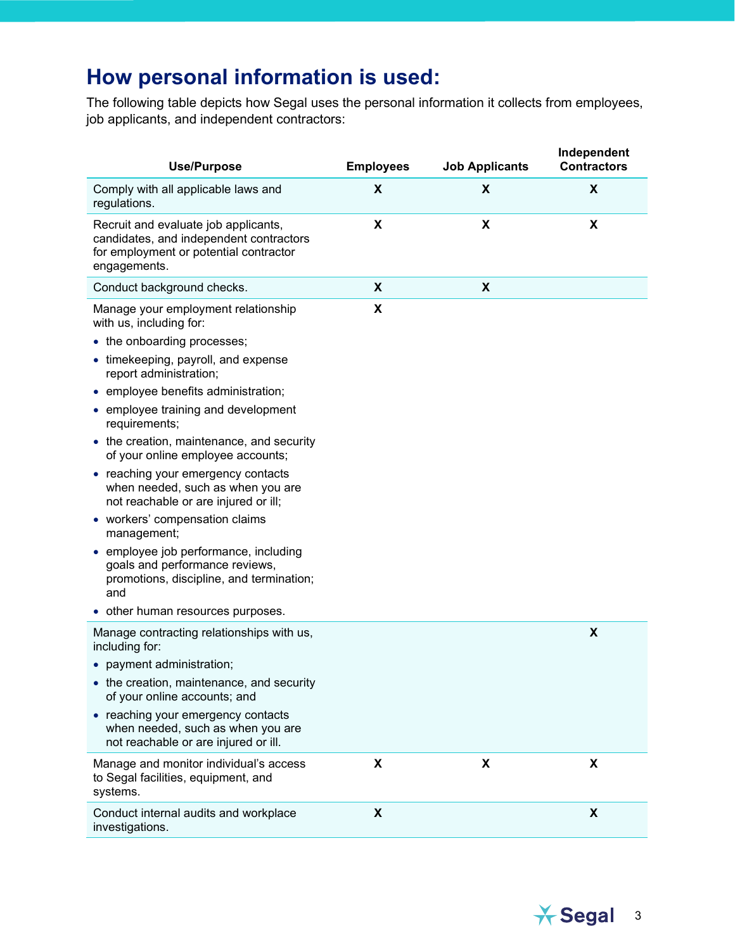## **How personal information is used:**

The following table depicts how Segal uses the personal information it collects from employees, job applicants, and independent contractors:

| <b>Use/Purpose</b>                                                                                                                                                                                                                                                                                                                                                                                                                                                                                                                                           | <b>Employees</b>   | <b>Job Applicants</b> | Independent<br><b>Contractors</b> |
|--------------------------------------------------------------------------------------------------------------------------------------------------------------------------------------------------------------------------------------------------------------------------------------------------------------------------------------------------------------------------------------------------------------------------------------------------------------------------------------------------------------------------------------------------------------|--------------------|-----------------------|-----------------------------------|
| Comply with all applicable laws and<br>regulations.                                                                                                                                                                                                                                                                                                                                                                                                                                                                                                          | X                  | X                     | X                                 |
| Recruit and evaluate job applicants,<br>candidates, and independent contractors<br>for employment or potential contractor<br>engagements.                                                                                                                                                                                                                                                                                                                                                                                                                    | X                  | X                     | $\boldsymbol{\mathsf{X}}$         |
| Conduct background checks.                                                                                                                                                                                                                                                                                                                                                                                                                                                                                                                                   | X                  | X                     |                                   |
| Manage your employment relationship<br>with us, including for:<br>• the onboarding processes;<br>• timekeeping, payroll, and expense<br>report administration;<br>• employee benefits administration;<br>• employee training and development<br>requirements;<br>• the creation, maintenance, and security<br>of your online employee accounts;<br>• reaching your emergency contacts<br>when needed, such as when you are<br>not reachable or are injured or ill;<br>• workers' compensation claims<br>management;<br>• employee job performance, including | $\pmb{\mathsf{X}}$ |                       |                                   |
| goals and performance reviews,<br>promotions, discipline, and termination;<br>and<br>• other human resources purposes.                                                                                                                                                                                                                                                                                                                                                                                                                                       |                    |                       |                                   |
| Manage contracting relationships with us,<br>including for:<br>• payment administration;<br>• the creation, maintenance, and security                                                                                                                                                                                                                                                                                                                                                                                                                        |                    |                       | X                                 |
| of your online accounts; and<br>• reaching your emergency contacts<br>when needed, such as when you are<br>not reachable or are injured or ill.                                                                                                                                                                                                                                                                                                                                                                                                              |                    |                       |                                   |
| Manage and monitor individual's access<br>to Segal facilities, equipment, and<br>systems.                                                                                                                                                                                                                                                                                                                                                                                                                                                                    | X                  | X                     | X                                 |
| Conduct internal audits and workplace<br>investigations.                                                                                                                                                                                                                                                                                                                                                                                                                                                                                                     | X                  |                       | X                                 |